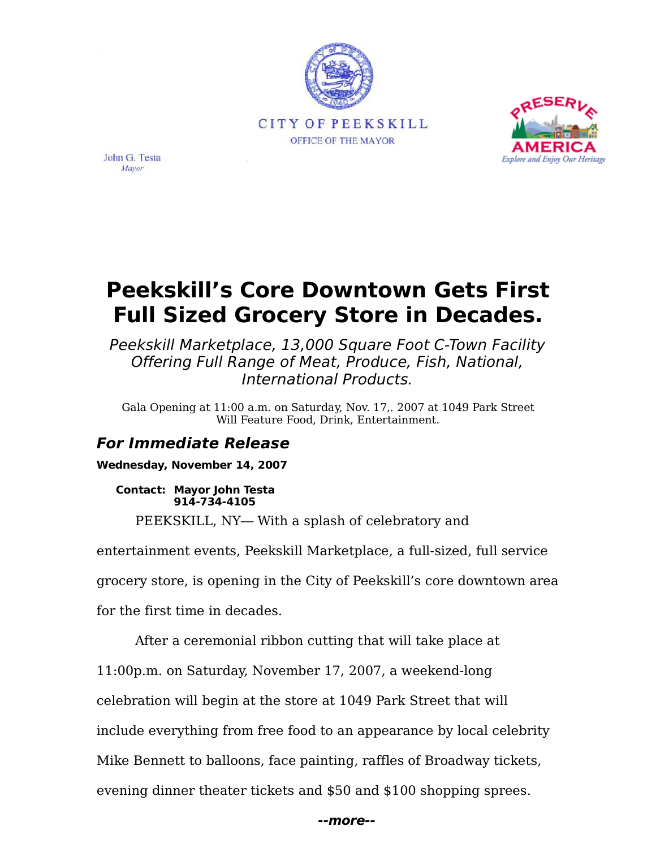



John G. Testa Mayor

# **Peekskill's Core Downtown Gets First Full Sized Grocery Store in Decades.**

Peekskill Marketplace, 13,000 Square Foot C-Town Facility Offering Full Range of Meat, Produce, Fish, National, International Products.

Gala Opening at 11:00 a.m. on Saturday, Nov. 17,. 2007 at 1049 Park Street Will Feature Food, Drink, Entertainment.

# **For Immediate Release**

**Wednesday, November 14, 2007**

**Contact: Mayor John Testa 914-734-4105**

PEEKSKILL, NY-With a splash of celebratory and

entertainment events, Peekskill Marketplace, a full-sized, full service grocery store, is opening in the City of Peekskill's core downtown area

for the first time in decades.

After a ceremonial ribbon cutting that will take place at

11:00p.m. on Saturday, November 17, 2007, a weekend-long

celebration will begin at the store at 1049 Park Street that will

include everything from free food to an appearance by local celebrity

Mike Bennett to balloons, face painting, raffles of Broadway tickets,

evening dinner theater tickets and \$50 and \$100 shopping sprees.

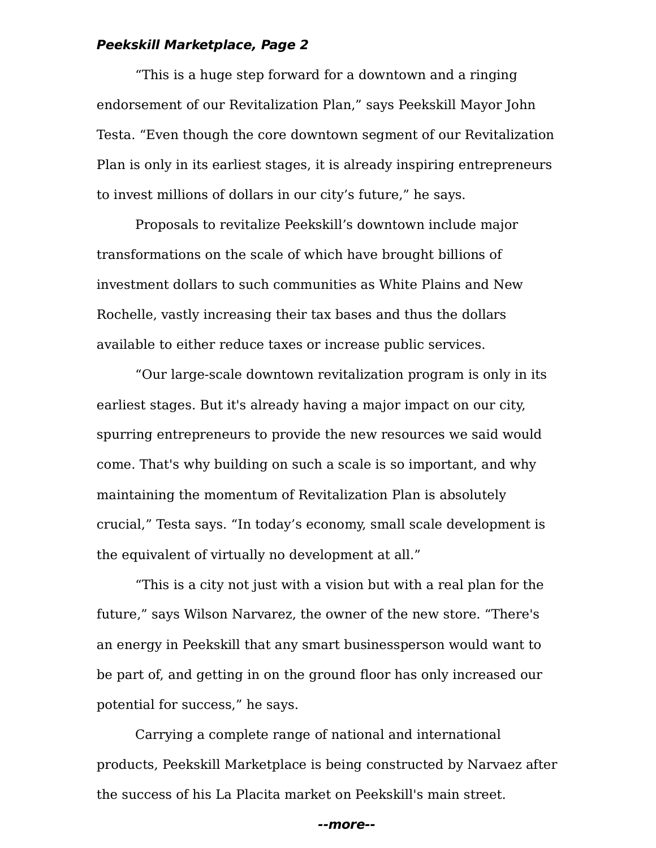## **Peekskill Marketplace, Page 2**

This is a huge step forward for a downtown and a ringing endorsement of our Revitalization Plan," says Peekskill Mayor John Testa. "Even though the core downtown segment of our Revitalization Plan is only in its earliest stages, it is already inspiring entrepreneurs to invest millions of dollars in our city's future," he says.

Proposals to revitalize Peekskill's downtown include major transformations on the scale of which have brought billions of investment dollars to such communities as White Plains and New Rochelle, vastly increasing their tax bases and thus the dollars available to either reduce taxes or increase public services.

Our large-scale downtown revitalization program is only in its earliest stages. But it's already having a major impact on our city, spurring entrepreneurs to provide the new resources we said would come. That's why building on such a scale is so important, and why maintaining the momentum of Revitalization Plan is absolutely crucial," Testa says. "In today's economy, small scale development is the equivalent of virtually no development at all.

This is a city not just with a vision but with a real plan for the future," says Wilson Narvarez, the owner of the new store. "There's an energy in Peekskill that any smart businessperson would want to be part of, and getting in on the ground floor has only increased our potential for success," he says.

Carrying a complete range of national and international products, Peekskill Marketplace is being constructed by Narvaez after the success of his La Placita market on Peekskill's main street.

**--more--**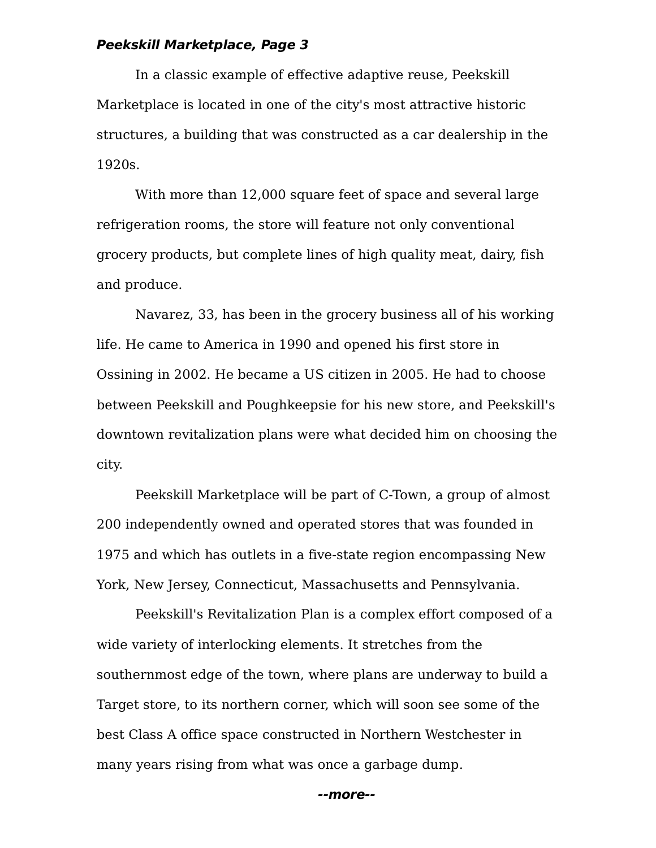## **Peekskill Marketplace, Page 3**

In a classic example of effective adaptive reuse, Peekskill Marketplace is located in one of the city's most attractive historic structures, a building that was constructed as a car dealership in the 1920s.

With more than 12,000 square feet of space and several large refrigeration rooms, the store will feature not only conventional grocery products, but complete lines of high quality meat, dairy, fish and produce.

Navarez, 33, has been in the grocery business all of his working life. He came to America in 1990 and opened his first store in Ossining in 2002. He became a US citizen in 2005. He had to choose between Peekskill and Poughkeepsie for his new store, and Peekskill's downtown revitalization plans were what decided him on choosing the city.

Peekskill Marketplace will be part of C-Town, a group of almost 200 independently owned and operated stores that was founded in 1975 and which has outlets in a five-state region encompassing New York, New Jersey, Connecticut, Massachusetts and Pennsylvania.

Peekskill's Revitalization Plan is a complex effort composed of a wide variety of interlocking elements. It stretches from the southernmost edge of the town, where plans are underway to build a Target store, to its northern corner, which will soon see some of the best Class A office space constructed in Northern Westchester in many years rising from what was once a garbage dump.

**--more--**